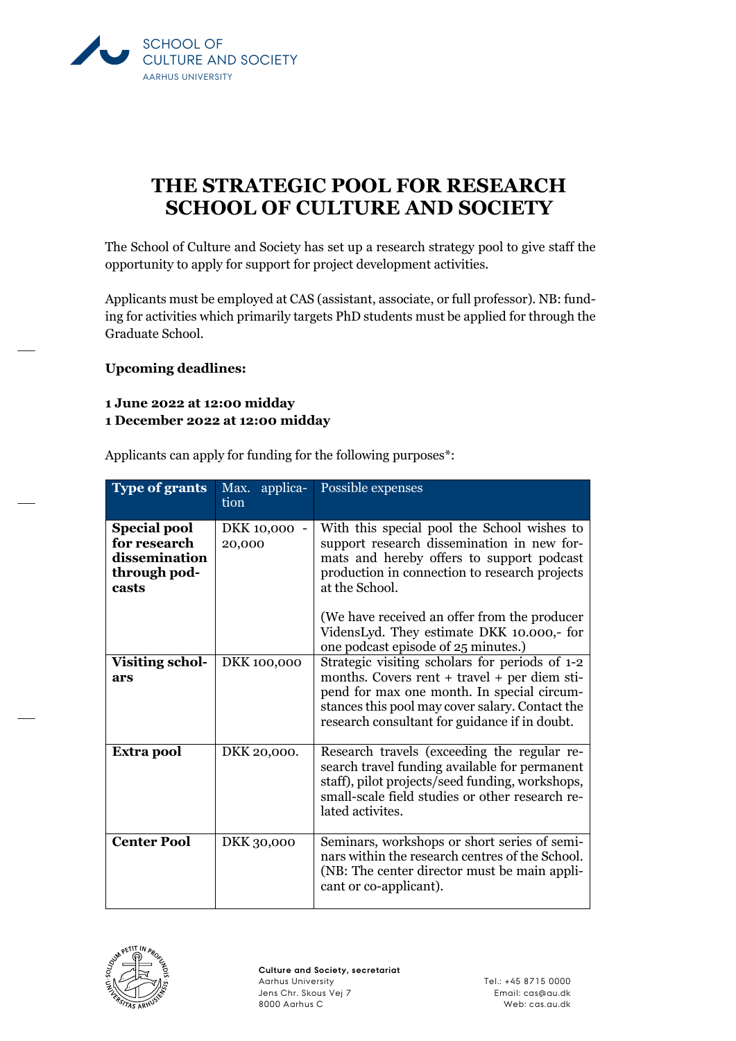

## **THE STRATEGIC POOL FOR RESEARCH SCHOOL OF CULTURE AND SOCIETY**

The School of Culture and Society has set up a research strategy pool to give staff the opportunity to apply for support for project development activities.

Applicants must be employed at CAS (assistant, associate, or full professor). NB: funding for activities which primarily targets PhD students must be applied for through the Graduate School.

**Upcoming deadlines:**

## **1 June 2022 at 12:00 midday 1 December 2022 at 12:00 midday**

Applicants can apply for funding for the following purposes\*:

| <b>Type of grants</b>                                                         | Max. applica-<br>tion  | Possible expenses                                                                                                                                                                                                                                                                                                                             |
|-------------------------------------------------------------------------------|------------------------|-----------------------------------------------------------------------------------------------------------------------------------------------------------------------------------------------------------------------------------------------------------------------------------------------------------------------------------------------|
| <b>Special pool</b><br>for research<br>dissemination<br>through pod-<br>casts | DKK 10,000 -<br>20,000 | With this special pool the School wishes to<br>support research dissemination in new for-<br>mats and hereby offers to support podcast<br>production in connection to research projects<br>at the School.<br>(We have received an offer from the producer<br>VidensLyd. They estimate DKK 10.000,- for<br>one podcast episode of 25 minutes.) |
| <b>Visiting schol-</b><br>ars                                                 | DKK 100,000            | Strategic visiting scholars for periods of 1-2<br>months. Covers rent + travel + per diem sti-<br>pend for max one month. In special circum-<br>stances this pool may cover salary. Contact the<br>research consultant for guidance if in doubt.                                                                                              |
| Extra pool                                                                    | DKK 20,000.            | Research travels (exceeding the regular re-<br>search travel funding available for permanent<br>staff), pilot projects/seed funding, workshops,<br>small-scale field studies or other research re-<br>lated activites.                                                                                                                        |
| <b>Center Pool</b>                                                            | DKK 30,000             | Seminars, workshops or short series of semi-<br>nars within the research centres of the School.<br>(NB: The center director must be main appli-<br>cant or co-applicant).                                                                                                                                                                     |

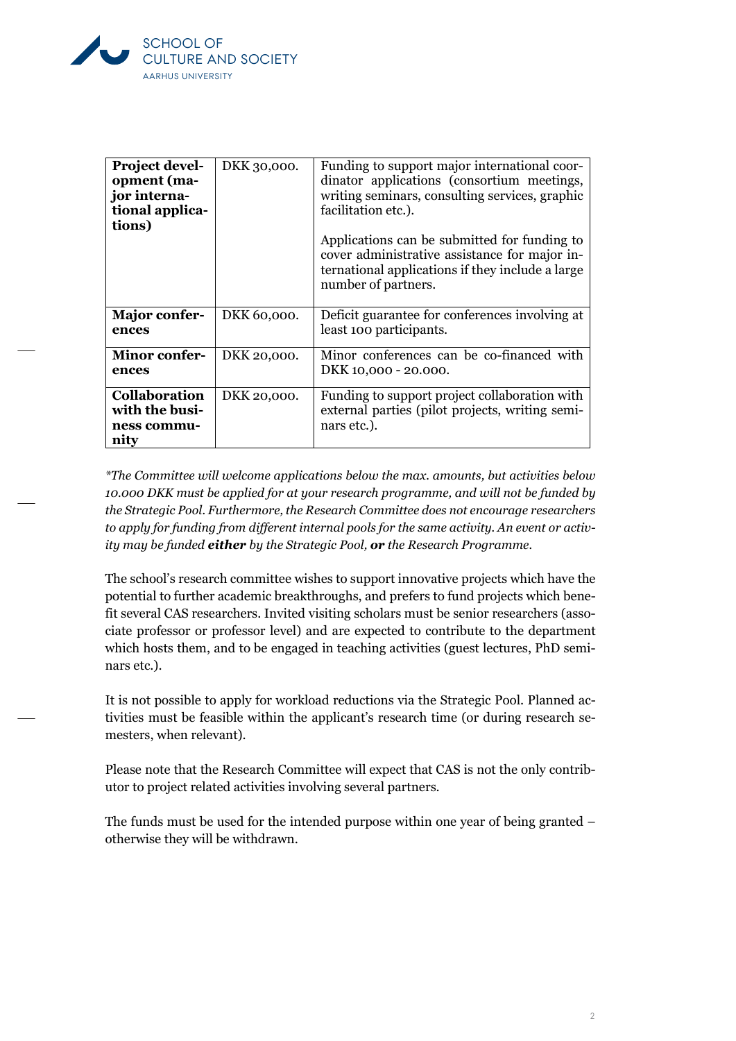

| <b>Project devel-</b><br>opment (ma-<br>jor interna-<br>tional applica-<br>tions) | DKK 30,000. | Funding to support major international coor-<br>dinator applications (consortium meetings,<br>writing seminars, consulting services, graphic<br>facilitation etc.).<br>Applications can be submitted for funding to<br>cover administrative assistance for major in-<br>ternational applications if they include a large<br>number of partners. |
|-----------------------------------------------------------------------------------|-------------|-------------------------------------------------------------------------------------------------------------------------------------------------------------------------------------------------------------------------------------------------------------------------------------------------------------------------------------------------|
| <b>Major confer-</b><br>ences                                                     | DKK 60,000. | Deficit guarantee for conferences involving at<br>least 100 participants.                                                                                                                                                                                                                                                                       |
| <b>Minor confer-</b><br>ences                                                     | DKK 20,000. | Minor conferences can be co-financed with<br>DKK 10,000 - 20.000.                                                                                                                                                                                                                                                                               |
| <b>Collaboration</b><br>with the busi-<br>ness commu-<br>nity                     | DKK 20,000. | Funding to support project collaboration with<br>external parties (pilot projects, writing semi-<br>nars etc.).                                                                                                                                                                                                                                 |

*\*The Committee will welcome applications below the max. amounts, but activities below 10.000 DKK must be applied for at your research programme, and will not be funded by the Strategic Pool. Furthermore, the Research Committee does not encourage researchers to apply for funding from different internal pools for the same activity. An event or activity may be funded either by the Strategic Pool, or the Research Programme.*

The school's research committee wishes to support innovative projects which have the potential to further academic breakthroughs, and prefers to fund projects which benefit several CAS researchers. Invited visiting scholars must be senior researchers (associate professor or professor level) and are expected to contribute to the department which hosts them, and to be engaged in teaching activities (guest lectures, PhD seminars etc.).

It is not possible to apply for workload reductions via the Strategic Pool. Planned activities must be feasible within the applicant's research time (or during research semesters, when relevant).

Please note that the Research Committee will expect that CAS is not the only contributor to project related activities involving several partners.

The funds must be used for the intended purpose within one year of being granted – otherwise they will be withdrawn.